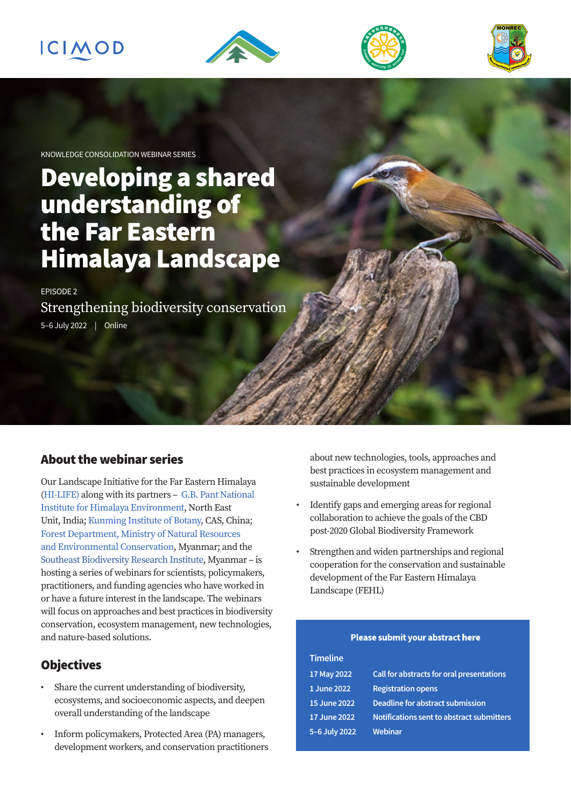# ICIMOD







KNOWLEDGE CONSOLIDATION WEBINAR SERIES

# Developing a shared understanding of the Far Eastern Himalaya Landscape

EPISODE 2 Strengthening biodiversity conservation 5–6 July 2022 | Online

### About the webinar series

Our Landscape Initiative for the Far Eastern Himalaya ([HI-LIFE](https://www.icimod.org/initiative/hi-life/)) along with its partners – [G.B. Pant National](https://gbpihed.gov.in/)  [Institute for Himalaya Environment,](https://gbpihed.gov.in/) North East Unit, India; [Kunming Institute of Botany](http://english.kib.cas.cn/), CAS, China; [Forest Department, Ministry of Natural Resources](https://monrec.nugmyanmar.org/)  [and Environmental Conservation](https://monrec.nugmyanmar.org/), Myanmar; and the [Southeast Biodiversity Research Institute,](https://www.facebook.com/seabricas/) Myanmar – is hosting a series of webinars for scientists, policymakers, practitioners, and funding agencies who have worked in or have a future interest in the landscape. The webinars will focus on approaches and best practices in biodiversity conservation, ecosystem management, new technologies, and nature-based solutions.

# **Objectives**

- Share the current understanding of biodiversity, ecosystems, and socioeconomic aspects, and deepen overall understanding of the landscape
- Inform policymakers, Protected Area (PA) managers, development workers, and conservation practitioners

about new technologies, tools, approaches and best practices in ecosystem management and sustainable development

- Identify gaps and emerging areas for regional collaboration to achieve the goals of the CBD post-2020 Global Biodiversity Framework
- Strengthen and widen partnerships and regional cooperation for the conservation and sustainable development of the Far Eastern Himalaya Landscape (FEHL)

#### **Please submit your abstract**[here](https://forms.office.com/r/xkwCtLsDB3)

#### **Timeline**

| 17 May 2022   | Call for abstracts for oral presentations        |
|---------------|--------------------------------------------------|
| 1 June 2022   | <b>Registration opens</b>                        |
| 15 June 2022  | Deadline for abstract submission                 |
| 17 June 2022  | <b>Notifications sent to abstract submitters</b> |
| 5-6 July 2022 | Webinar                                          |